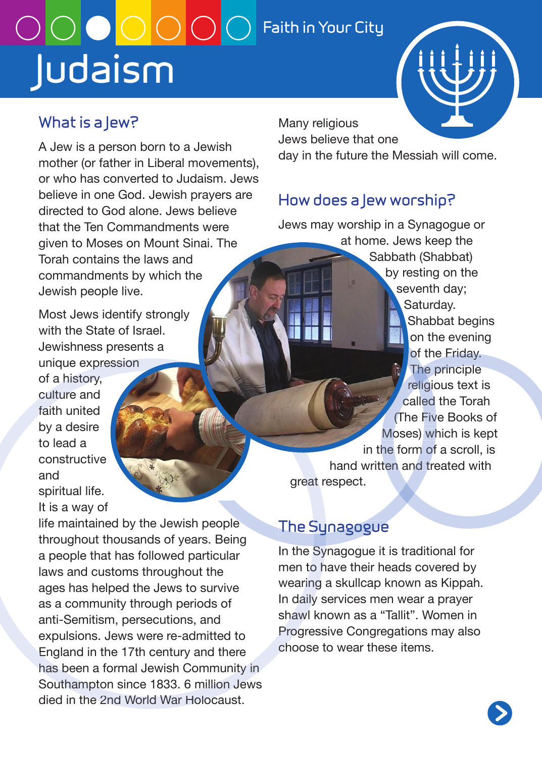## **Judaism**  $\overline{\text{O}}$   $\overline{\text{O}}$   $\overline{\text{O}}$   $\overline{\text{O}}$   $\overline{\text{O}}$  Faith in Your City

#### **What is a Jew?**

A Jew is a person born to a Jewish mother (or father in Liberal movements), or who has converted to Judaism. Jews believe in one God. Jewish prayers are directed to God alone. Jews believe that the Ten Commandments were given to Moses on Mount Sinai. The Torah contains the laws and commandments by which the Jewish people live.

Most Jews identify strongly with the State of Israel Jewishness presents a unique expression

of a history, culture and faith united by a desire to lead a constructive and spiritual life. It is a way of

life maintained by the Jewish people throughout thousands of years. Being a people that has followed particular laws and customs throughout the ages has helped the Jews to survive as a community through periods of anti-Semitism, persecutions, and expulsions. Jews were re-admitted to England in the 17th century and there has been a formal Jewish Community in Southampton since 1833. 6 million Jews died in the 2nd World War Holocaust.

Many religious

Jews believe that one day in the future the Messiah will come.

#### **How does a Jew worship?**

Jews may worship in a Synagogue or at home. Jews keep the Sabbath (Shabbat) by resting on the seventh day; Saturday. Shabbat begins on the evening of the Friday. The principle religious text is called the Torah (The Five Books of Moses) which is kept in the form of a scroll, is hand written and treated with great respect.

#### **The Synagogue**

In the Synagogue it is traditional for men to have their heads covered by wearing a skullcap known as Kippah. In daily services men wear a prayer shawl known as a "Tallit". Women in Progressive Congregations may also choose to wear these items.